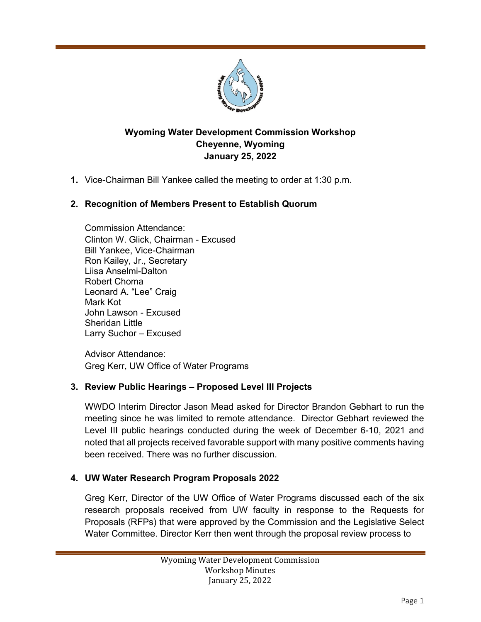

# **Wyoming Water Development Commission Workshop Cheyenne, Wyoming January 25, 2022**

**1.** Vice-Chairman Bill Yankee called the meeting to order at 1:30 p.m.

# **2. Recognition of Members Present to Establish Quorum**

Commission Attendance: Clinton W. Glick, Chairman - Excused Bill Yankee, Vice-Chairman Ron Kailey, Jr., Secretary Liisa Anselmi-Dalton Robert Choma Leonard A. "Lee" Craig Mark Kot John Lawson - Excused Sheridan Little Larry Suchor – Excused

Advisor Attendance: Greg Kerr, UW Office of Water Programs

## **3. Review Public Hearings – Proposed Level III Projects**

WWDO Interim Director Jason Mead asked for Director Brandon Gebhart to run the meeting since he was limited to remote attendance. Director Gebhart reviewed the Level III public hearings conducted during the week of December 6-10, 2021 and noted that all projects received favorable support with many positive comments having been received. There was no further discussion.

#### **4. UW Water Research Program Proposals 2022**

Greg Kerr, Director of the UW Office of Water Programs discussed each of the six research proposals received from UW faculty in response to the Requests for Proposals (RFPs) that were approved by the Commission and the Legislative Select Water Committee. Director Kerr then went through the proposal review process to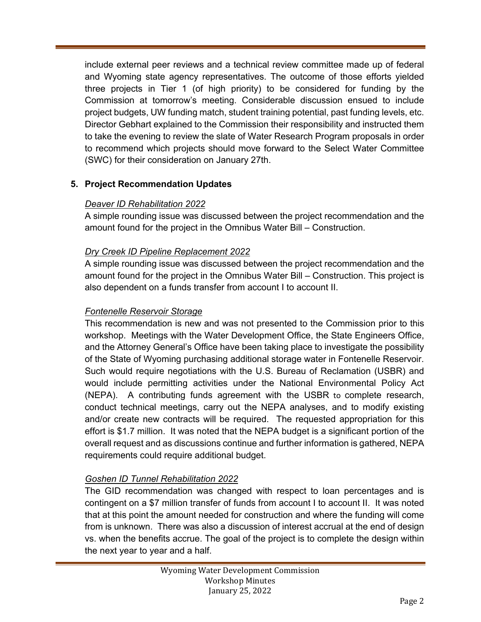include external peer reviews and a technical review committee made up of federal and Wyoming state agency representatives. The outcome of those efforts yielded three projects in Tier 1 (of high priority) to be considered for funding by the Commission at tomorrow's meeting. Considerable discussion ensued to include project budgets, UW funding match, student training potential, past funding levels, etc. Director Gebhart explained to the Commission their responsibility and instructed them to take the evening to review the slate of Water Research Program proposals in order to recommend which projects should move forward to the Select Water Committee (SWC) for their consideration on January 27th.

# **5. Project Recommendation Updates**

### *Deaver ID Rehabilitation 2022*

A simple rounding issue was discussed between the project recommendation and the amount found for the project in the Omnibus Water Bill – Construction.

## *Dry Creek ID Pipeline Replacement 2022*

A simple rounding issue was discussed between the project recommendation and the amount found for the project in the Omnibus Water Bill – Construction. This project is also dependent on a funds transfer from account I to account II.

### *Fontenelle Reservoir Storage*

This recommendation is new and was not presented to the Commission prior to this workshop. Meetings with the Water Development Office, the State Engineers Office, and the Attorney General's Office have been taking place to investigate the possibility of the State of Wyoming purchasing additional storage water in Fontenelle Reservoir. Such would require negotiations with the U.S. Bureau of Reclamation (USBR) and would include permitting activities under the National Environmental Policy Act (NEPA). A contributing funds agreement with the USBR to complete research, conduct technical meetings, carry out the NEPA analyses, and to modify existing and/or create new contracts will be required. The requested appropriation for this effort is \$1.7 million. It was noted that the NEPA budget is a significant portion of the overall request and as discussions continue and further information is gathered, NEPA requirements could require additional budget.

## *Goshen ID Tunnel Rehabilitation 2022*

The GID recommendation was changed with respect to loan percentages and is contingent on a \$7 million transfer of funds from account I to account II. It was noted that at this point the amount needed for construction and where the funding will come from is unknown. There was also a discussion of interest accrual at the end of design vs. when the benefits accrue. The goal of the project is to complete the design within the next year to year and a half.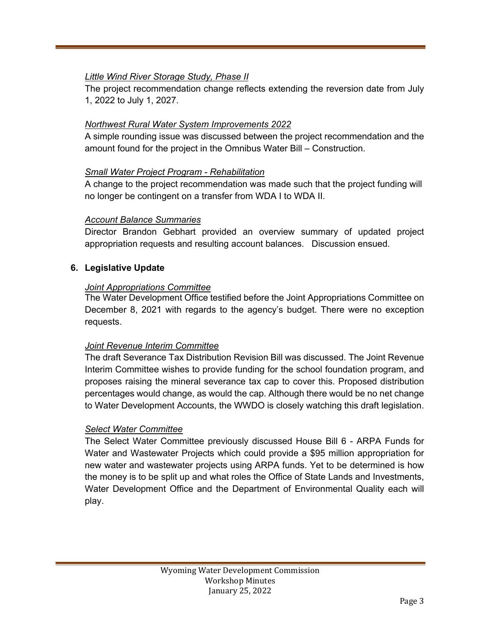## *Little Wind River Storage Study, Phase II*

The project recommendation change reflects extending the reversion date from July 1, 2022 to July 1, 2027.

### *Northwest Rural Water System Improvements 2022*

A simple rounding issue was discussed between the project recommendation and the amount found for the project in the Omnibus Water Bill – Construction.

#### *Small Water Project Program - Rehabilitation*

A change to the project recommendation was made such that the project funding will no longer be contingent on a transfer from WDA I to WDA II.

### *Account Balance Summaries*

Director Brandon Gebhart provided an overview summary of updated project appropriation requests and resulting account balances. Discussion ensued.

### **6. Legislative Update**

#### *Joint Appropriations Committee*

The Water Development Office testified before the Joint Appropriations Committee on December 8, 2021 with regards to the agency's budget. There were no exception requests.

## *Joint Revenue Interim Committee*

The draft Severance Tax Distribution Revision Bill was discussed. The Joint Revenue Interim Committee wishes to provide funding for the school foundation program, and proposes raising the mineral severance tax cap to cover this. Proposed distribution percentages would change, as would the cap. Although there would be no net change to Water Development Accounts, the WWDO is closely watching this draft legislation.

#### *Select Water Committee*

The Select Water Committee previously discussed House Bill 6 - ARPA Funds for Water and Wastewater Projects which could provide a \$95 million appropriation for new water and wastewater projects using ARPA funds. Yet to be determined is how the money is to be split up and what roles the Office of State Lands and Investments, Water Development Office and the Department of Environmental Quality each will play.